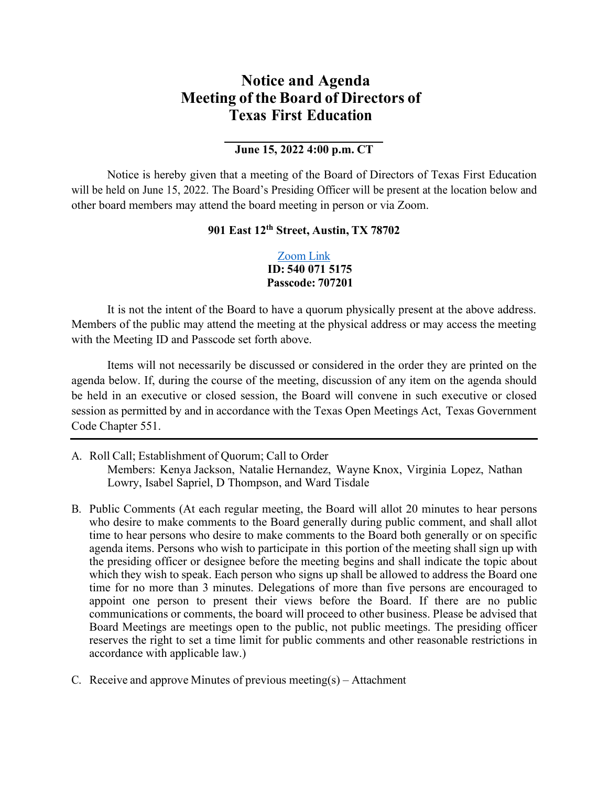## **Notice and Agenda Meeting of the Board of Directors of Texas First Education**

## **June 15, 2022 4:00 p.m. CT**

Notice is hereby given that a meeting of the Board of Directors of Texas First Education will be held on June 15, 2022. The Board's Presiding Officer will be present at the location below and other board members may attend the board meeting in person or via Zoom.

## **901 East 12th Street, Austin, TX 78702**

## [Zoom](https://us02web.zoom.us/j/5400715175?pwd=OXRHWVM5dVB4TEkyNU5oQU90Q3oxQT09) Link **ID: 540 071 5175 Passcode: 707201**

It is not the intent of the Board to have a quorum physically present at the above address. Members of the public may attend the meeting at the physical address or may access the meeting with the Meeting ID and Passcode set forth above.

Items will not necessarily be discussed or considered in the order they are printed on the agenda below. If, during the course of the meeting, discussion of any item on the agenda should be held in an executive or closed session, the Board will convene in such executive or closed session as permitted by and in accordance with the Texas Open Meetings Act, Texas Government Code Chapter 551.

- A. Roll Call; Establishment of Quorum; Call to Order Members: Kenya Jackson, Natalie Hernandez, Wayne Knox, Virginia Lopez, Nathan Lowry, Isabel Sapriel, D Thompson, and Ward Tisdale
- B. Public Comments (At each regular meeting, the Board will allot 20 minutes to hear persons who desire to make comments to the Board generally during public comment, and shall allot time to hear persons who desire to make comments to the Board both generally or on specific agenda items. Persons who wish to participate in this portion of the meeting shall sign up with the presiding officer or designee before the meeting begins and shall indicate the topic about which they wish to speak. Each person who signs up shall be allowed to address the Board one time for no more than 3 minutes. Delegations of more than five persons are encouraged to appoint one person to present their views before the Board. If there are no public communications or comments, the board will proceed to other business. Please be advised that Board Meetings are meetings open to the public, not public meetings. The presiding officer reserves the right to set a time limit for public comments and other reasonable restrictions in accordance with applicable law.)
- C. Receive and approve Minutes of previous meeting(s) Attachment